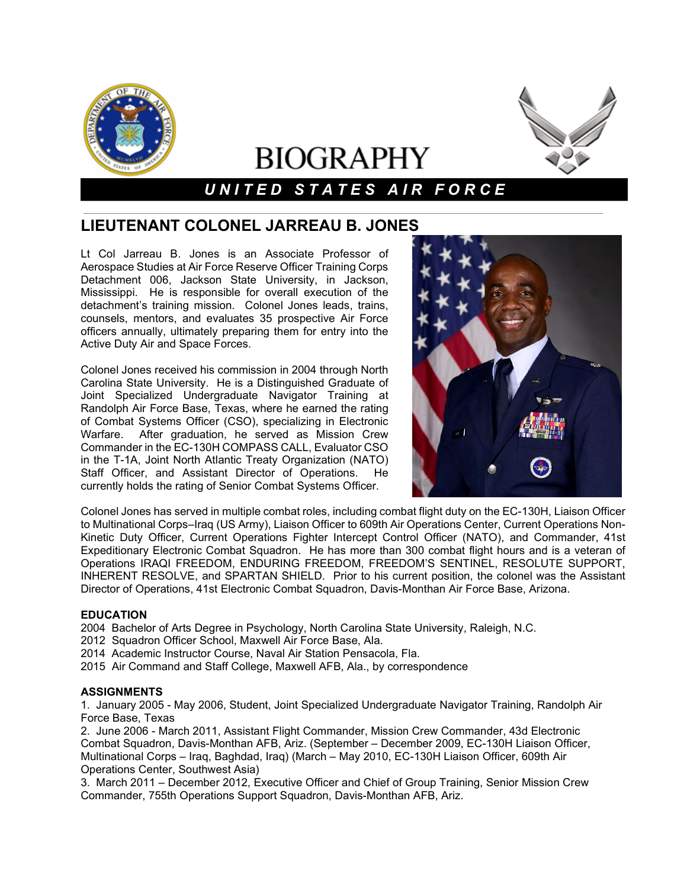

# **BIOGRAPHY**

# *U N I T E D S T A T E S A I R F O R C E*

## **LIEUTENANT COLONEL JARREAU B. JONES**

Lt Col Jarreau B. Jones is an Associate Professor of Aerospace Studies at Air Force Reserve Officer Training Corps Detachment 006, Jackson State University, in Jackson, Mississippi. He is responsible for overall execution of the detachment's training mission. Colonel Jones leads, trains, counsels, mentors, and evaluates 35 prospective Air Force officers annually, ultimately preparing them for entry into the Active Duty Air and Space Forces.

Colonel Jones received his commission in 2004 through North Carolina State University. He is a Distinguished Graduate of Joint Specialized Undergraduate Navigator Training at Randolph Air Force Base, Texas, where he earned the rating of Combat Systems Officer (CSO), specializing in Electronic Warfare. After graduation, he served as Mission Crew Commander in the EC-130H COMPASS CALL, Evaluator CSO in the T-1A, Joint North Atlantic Treaty Organization (NATO) Staff Officer, and Assistant Director of Operations. He currently holds the rating of Senior Combat Systems Officer.



Colonel Jones has served in multiple combat roles, including combat flight duty on the EC-130H, Liaison Officer to Multinational Corps–Iraq (US Army), Liaison Officer to 609th Air Operations Center, Current Operations Non-Kinetic Duty Officer, Current Operations Fighter Intercept Control Officer (NATO), and Commander, 41st Expeditionary Electronic Combat Squadron. He has more than 300 combat flight hours and is a veteran of Operations IRAQI FREEDOM, ENDURING FREEDOM, FREEDOM'S SENTINEL, RESOLUTE SUPPORT, INHERENT RESOLVE, and SPARTAN SHIELD. Prior to his current position, the colonel was the Assistant Director of Operations, 41st Electronic Combat Squadron, Davis-Monthan Air Force Base, Arizona.

### **EDUCATION**

2004 Bachelor of Arts Degree in Psychology, North Carolina State University, Raleigh, N.C.

- 2012 Squadron Officer School, Maxwell Air Force Base, Ala.
- 2014 Academic Instructor Course, Naval Air Station Pensacola, Fla.
- 2015 Air Command and Staff College, Maxwell AFB, Ala., by correspondence

### **ASSIGNMENTS**

1. January 2005 - May 2006, Student, Joint Specialized Undergraduate Navigator Training, Randolph Air Force Base, Texas

2. June 2006 - March 2011, Assistant Flight Commander, Mission Crew Commander, 43d Electronic Combat Squadron, Davis-Monthan AFB, Ariz. (September – December 2009, EC-130H Liaison Officer, Multinational Corps – Iraq, Baghdad, Iraq) (March – May 2010, EC-130H Liaison Officer, 609th Air Operations Center, Southwest Asia)

3. March 2011 – December 2012, Executive Officer and Chief of Group Training, Senior Mission Crew Commander, 755th Operations Support Squadron, Davis-Monthan AFB, Ariz.